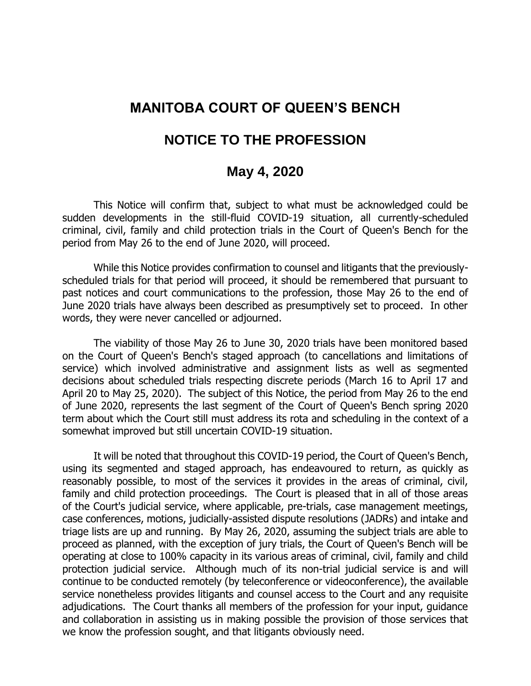## **MANITOBA COURT OF QUEEN'S BENCH**

## **NOTICE TO THE PROFESSION**

## **May 4, 2020**

This Notice will confirm that, subject to what must be acknowledged could be sudden developments in the still-fluid COVID-19 situation, all currently-scheduled criminal, civil, family and child protection trials in the Court of Queen's Bench for the period from May 26 to the end of June 2020, will proceed.

While this Notice provides confirmation to counsel and litigants that the previouslyscheduled trials for that period will proceed, it should be remembered that pursuant to past notices and court communications to the profession, those May 26 to the end of June 2020 trials have always been described as presumptively set to proceed. In other words, they were never cancelled or adjourned.

The viability of those May 26 to June 30, 2020 trials have been monitored based on the Court of Queen's Bench's staged approach (to cancellations and limitations of service) which involved administrative and assignment lists as well as segmented decisions about scheduled trials respecting discrete periods (March 16 to April 17 and April 20 to May 25, 2020). The subject of this Notice, the period from May 26 to the end of June 2020, represents the last segment of the Court of Queen's Bench spring 2020 term about which the Court still must address its rota and scheduling in the context of a somewhat improved but still uncertain COVID-19 situation.

It will be noted that throughout this COVID-19 period, the Court of Queen's Bench, using its segmented and staged approach, has endeavoured to return, as quickly as reasonably possible, to most of the services it provides in the areas of criminal, civil, family and child protection proceedings. The Court is pleased that in all of those areas of the Court's judicial service, where applicable, pre-trials, case management meetings, case conferences, motions, judicially-assisted dispute resolutions (JADRs) and intake and triage lists are up and running. By May 26, 2020, assuming the subject trials are able to proceed as planned, with the exception of jury trials, the Court of Queen's Bench will be operating at close to 100% capacity in its various areas of criminal, civil, family and child protection judicial service. Although much of its non-trial judicial service is and will continue to be conducted remotely (by teleconference or videoconference), the available service nonetheless provides litigants and counsel access to the Court and any requisite adjudications. The Court thanks all members of the profession for your input, guidance and collaboration in assisting us in making possible the provision of those services that we know the profession sought, and that litigants obviously need.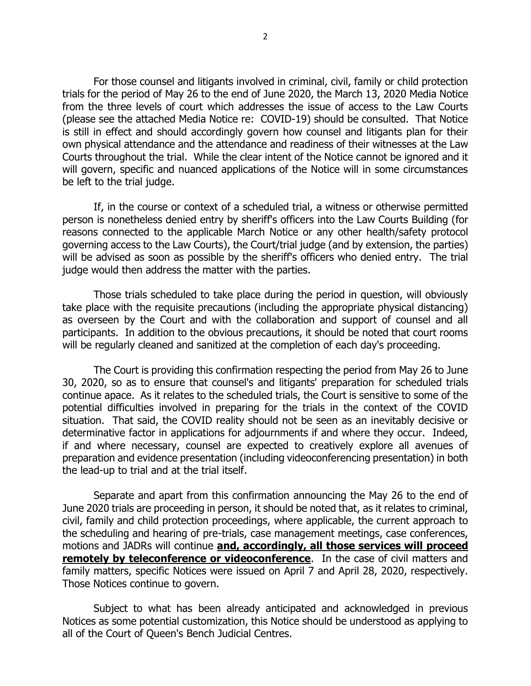For those counsel and litigants involved in criminal, civil, family or child protection trials for the period of May 26 to the end of June 2020, the March 13, 2020 Media Notice from the three levels of court which addresses the issue of access to the Law Courts (please see the attached Media Notice re: COVID-19) should be consulted. That Notice is still in effect and should accordingly govern how counsel and litigants plan for their own physical attendance and the attendance and readiness of their witnesses at the Law Courts throughout the trial. While the clear intent of the Notice cannot be ignored and it will govern, specific and nuanced applications of the Notice will in some circumstances be left to the trial judge.

If, in the course or context of a scheduled trial, a witness or otherwise permitted person is nonetheless denied entry by sheriff's officers into the Law Courts Building (for reasons connected to the applicable March Notice or any other health/safety protocol governing access to the Law Courts), the Court/trial judge (and by extension, the parties) will be advised as soon as possible by the sheriff's officers who denied entry. The trial judge would then address the matter with the parties.

Those trials scheduled to take place during the period in question, will obviously take place with the requisite precautions (including the appropriate physical distancing) as overseen by the Court and with the collaboration and support of counsel and all participants. In addition to the obvious precautions, it should be noted that court rooms will be regularly cleaned and sanitized at the completion of each day's proceeding.

The Court is providing this confirmation respecting the period from May 26 to June 30, 2020, so as to ensure that counsel's and litigants' preparation for scheduled trials continue apace. As it relates to the scheduled trials, the Court is sensitive to some of the potential difficulties involved in preparing for the trials in the context of the COVID situation. That said, the COVID reality should not be seen as an inevitably decisive or determinative factor in applications for adjournments if and where they occur. Indeed, if and where necessary, counsel are expected to creatively explore all avenues of preparation and evidence presentation (including videoconferencing presentation) in both the lead-up to trial and at the trial itself.

Separate and apart from this confirmation announcing the May 26 to the end of June 2020 trials are proceeding in person, it should be noted that, as it relates to criminal, civil, family and child protection proceedings, where applicable, the current approach to the scheduling and hearing of pre-trials, case management meetings, case conferences, motions and JADRs will continue **and, accordingly, all those services will proceed remotely by teleconference or videoconference**. In the case of civil matters and family matters, specific Notices were issued on April 7 and April 28, 2020, respectively. Those Notices continue to govern.

Subject to what has been already anticipated and acknowledged in previous Notices as some potential customization, this Notice should be understood as applying to all of the Court of Queen's Bench Judicial Centres.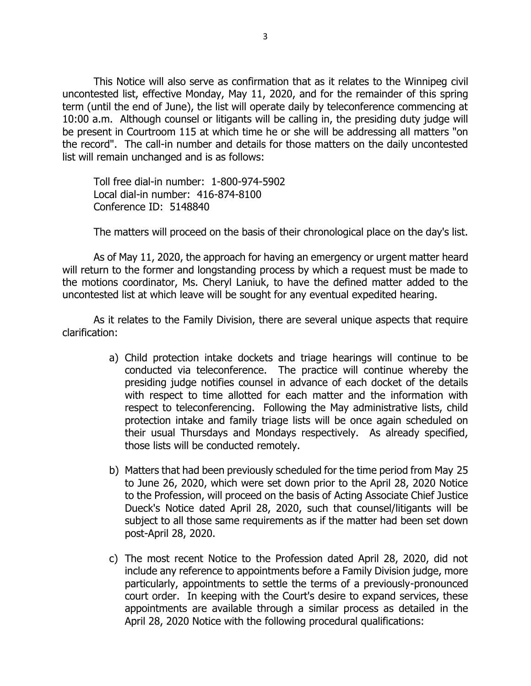This Notice will also serve as confirmation that as it relates to the Winnipeg civil uncontested list, effective Monday, May 11, 2020, and for the remainder of this spring term (until the end of June), the list will operate daily by teleconference commencing at 10:00 a.m. Although counsel or litigants will be calling in, the presiding duty judge will be present in Courtroom 115 at which time he or she will be addressing all matters "on the record". The call-in number and details for those matters on the daily uncontested list will remain unchanged and is as follows:

Toll free dial-in number: 1-800-974-5902 Local dial-in number: 416-874-8100 Conference ID: 5148840

The matters will proceed on the basis of their chronological place on the day's list.

As of May 11, 2020, the approach for having an emergency or urgent matter heard will return to the former and longstanding process by which a request must be made to the motions coordinator, Ms. Cheryl Laniuk, to have the defined matter added to the uncontested list at which leave will be sought for any eventual expedited hearing.

As it relates to the Family Division, there are several unique aspects that require clarification:

- a) Child protection intake dockets and triage hearings will continue to be conducted via teleconference. The practice will continue whereby the presiding judge notifies counsel in advance of each docket of the details with respect to time allotted for each matter and the information with respect to teleconferencing. Following the May administrative lists, child protection intake and family triage lists will be once again scheduled on their usual Thursdays and Mondays respectively. As already specified, those lists will be conducted remotely.
- b) Matters that had been previously scheduled for the time period from May 25 to June 26, 2020, which were set down prior to the April 28, 2020 Notice to the Profession, will proceed on the basis of Acting Associate Chief Justice Dueck's Notice dated April 28, 2020, such that counsel/litigants will be subject to all those same requirements as if the matter had been set down post-April 28, 2020.
- c) The most recent Notice to the Profession dated April 28, 2020, did not include any reference to appointments before a Family Division judge, more particularly, appointments to settle the terms of a previously-pronounced court order. In keeping with the Court's desire to expand services, these appointments are available through a similar process as detailed in the April 28, 2020 Notice with the following procedural qualifications: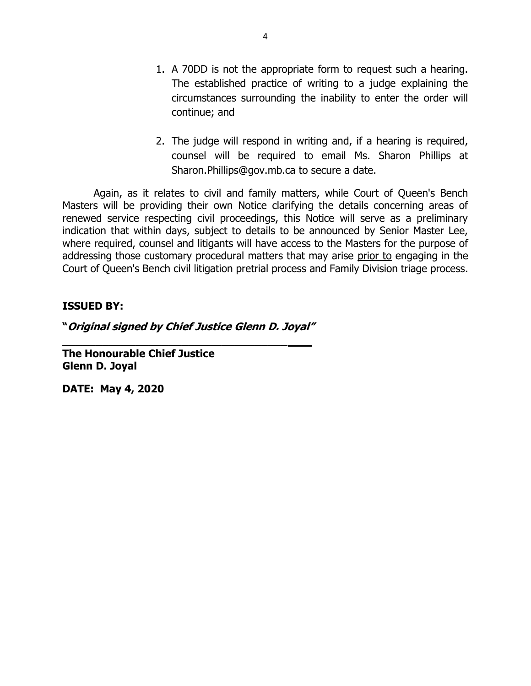- 1. A 70DD is not the appropriate form to request such a hearing. The established practice of writing to a judge explaining the circumstances surrounding the inability to enter the order will continue; and
- 2. The judge will respond in writing and, if a hearing is required, counsel will be required to email Ms. Sharon Phillips at [Sharon.Phillips@gov.mb.ca](mailto:Sharon.Phillips@gov.mb.ca) to secure a date.

Again, as it relates to civil and family matters, while Court of Queen's Bench Masters will be providing their own Notice clarifying the details concerning areas of renewed service respecting civil proceedings, this Notice will serve as a preliminary indication that within days, subject to details to be announced by Senior Master Lee, where required, counsel and litigants will have access to the Masters for the purpose of addressing those customary procedural matters that may arise prior to engaging in the Court of Queen's Bench civil litigation pretrial process and Family Division triage process.

### **ISSUED BY:**

**"Original signed by Chief Justice Glenn D. Joyal"**

**\_\_\_\_\_\_\_\_\_\_\_\_\_\_\_\_\_\_\_\_\_\_\_\_\_\_\_\_\_\_\_\_\_\_**

**The Honourable Chief Justice Glenn D. Joyal**

**DATE: May 4, 2020**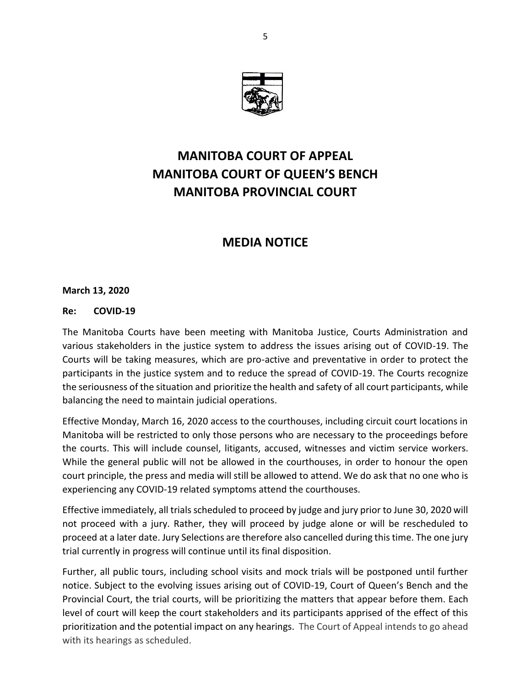

# **MANITOBA COURT OF APPEAL MANITOBA COURT OF QUEEN'S BENCH MANITOBA PROVINCIAL COURT**

## **MEDIA NOTICE**

### **March 13, 2020**

#### **Re: COVID-19**

The Manitoba Courts have been meeting with Manitoba Justice, Courts Administration and various stakeholders in the justice system to address the issues arising out of COVID-19. The Courts will be taking measures, which are pro-active and preventative in order to protect the participants in the justice system and to reduce the spread of COVID-19. The Courts recognize the seriousness of the situation and prioritize the health and safety of all court participants, while balancing the need to maintain judicial operations.

Effective Monday, March 16, 2020 access to the courthouses, including circuit court locations in Manitoba will be restricted to only those persons who are necessary to the proceedings before the courts. This will include counsel, litigants, accused, witnesses and victim service workers. While the general public will not be allowed in the courthouses, in order to honour the open court principle, the press and media will still be allowed to attend. We do ask that no one who is experiencing any COVID-19 related symptoms attend the courthouses.

Effective immediately, all trials scheduled to proceed by judge and jury prior to June 30, 2020 will not proceed with a jury. Rather, they will proceed by judge alone or will be rescheduled to proceed at a later date. Jury Selections are therefore also cancelled during this time. The one jury trial currently in progress will continue until its final disposition.

Further, all public tours, including school visits and mock trials will be postponed until further notice. Subject to the evolving issues arising out of COVID-19, Court of Queen's Bench and the Provincial Court, the trial courts, will be prioritizing the matters that appear before them. Each level of court will keep the court stakeholders and its participants apprised of the effect of this prioritization and the potential impact on any hearings. The Court of Appeal intends to go ahead with its hearings as scheduled.